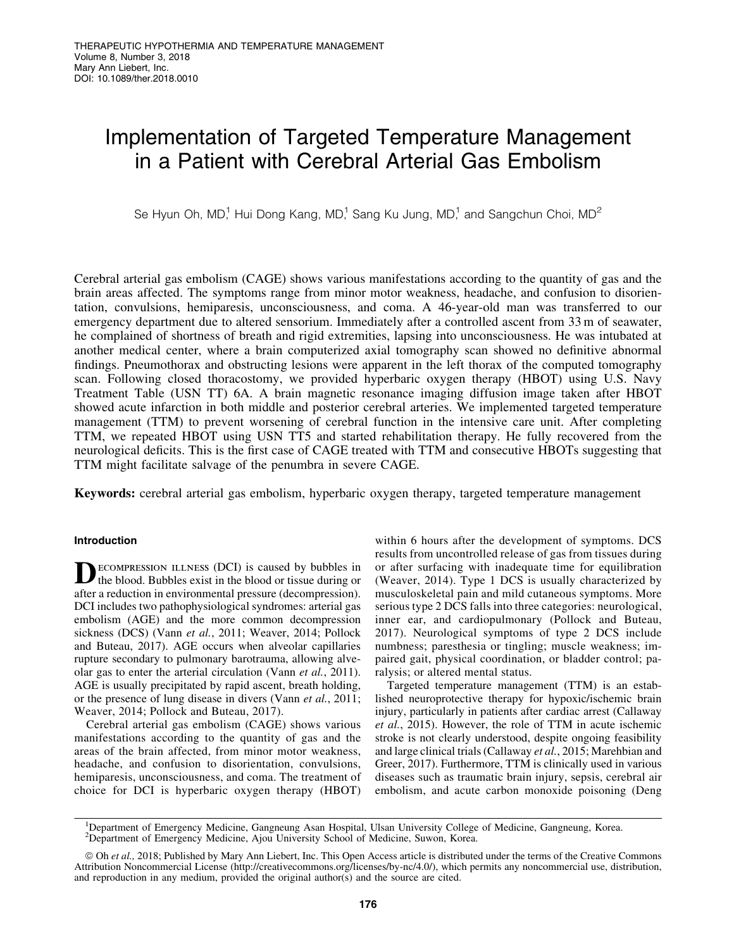# Implementation of Targeted Temperature Management in a Patient with Cerebral Arterial Gas Embolism

Se Hyun Oh, MD<sup>1</sup>, Hui Dong Kang, MD<sup>1</sup>, Sang Ku Jung, MD<sup>1</sup>, and Sangchun Choi, MD<sup>2</sup>

Cerebral arterial gas embolism (CAGE) shows various manifestations according to the quantity of gas and the brain areas affected. The symptoms range from minor motor weakness, headache, and confusion to disorientation, convulsions, hemiparesis, unconsciousness, and coma. A 46-year-old man was transferred to our emergency department due to altered sensorium. Immediately after a controlled ascent from 33 m of seawater, he complained of shortness of breath and rigid extremities, lapsing into unconsciousness. He was intubated at another medical center, where a brain computerized axial tomography scan showed no definitive abnormal findings. Pneumothorax and obstructing lesions were apparent in the left thorax of the computed tomography scan. Following closed thoracostomy, we provided hyperbaric oxygen therapy (HBOT) using U.S. Navy Treatment Table (USN TT) 6A. A brain magnetic resonance imaging diffusion image taken after HBOT showed acute infarction in both middle and posterior cerebral arteries. We implemented targeted temperature management (TTM) to prevent worsening of cerebral function in the intensive care unit. After completing TTM, we repeated HBOT using USN TT5 and started rehabilitation therapy. He fully recovered from the neurological deficits. This is the first case of CAGE treated with TTM and consecutive HBOTs suggesting that TTM might facilitate salvage of the penumbra in severe CAGE.

Keywords: cerebral arterial gas embolism, hyperbaric oxygen therapy, targeted temperature management

# Introduction

**DECOMPRESSION ILLNESS (DCI)** is caused by bubbles in the blood. Bubbles exist in the blood or tissue during or after a reduction in environmental pressure (decompression). DCI includes two pathophysiological syndromes: arterial gas embolism (AGE) and the more common decompression sickness (DCS) (Vann *et al.*, 2011; Weaver, 2014; Pollock and Buteau, 2017). AGE occurs when alveolar capillaries rupture secondary to pulmonary barotrauma, allowing alveolar gas to enter the arterial circulation (Vann *et al.*, 2011). AGE is usually precipitated by rapid ascent, breath holding, or the presence of lung disease in divers (Vann *et al.*, 2011; Weaver, 2014; Pollock and Buteau, 2017).

Cerebral arterial gas embolism (CAGE) shows various manifestations according to the quantity of gas and the areas of the brain affected, from minor motor weakness, headache, and confusion to disorientation, convulsions, hemiparesis, unconsciousness, and coma. The treatment of choice for DCI is hyperbaric oxygen therapy (HBOT) within 6 hours after the development of symptoms. DCS results from uncontrolled release of gas from tissues during or after surfacing with inadequate time for equilibration (Weaver, 2014). Type 1 DCS is usually characterized by musculoskeletal pain and mild cutaneous symptoms. More serious type 2 DCS falls into three categories: neurological, inner ear, and cardiopulmonary (Pollock and Buteau, 2017). Neurological symptoms of type 2 DCS include numbness; paresthesia or tingling; muscle weakness; impaired gait, physical coordination, or bladder control; paralysis; or altered mental status.

Targeted temperature management (TTM) is an established neuroprotective therapy for hypoxic/ischemic brain injury, particularly in patients after cardiac arrest (Callaway *et al.*, 2015). However, the role of TTM in acute ischemic stroke is not clearly understood, despite ongoing feasibility and large clinical trials (Callaway *et al.*, 2015; Marehbian and Greer, 2017). Furthermore, TTM is clinically used in various diseases such as traumatic brain injury, sepsis, cerebral air embolism, and acute carbon monoxide poisoning (Deng

<sup>1</sup>Department of Emergency Medicine, Gangneung Asan Hospital, Ulsan University College of Medicine, Gangneung, Korea. 2 Department of Emergency Medicine, Ajou University School of Medicine, Suwon, Korea.

ª Oh *et al.,* 2018; Published by Mary Ann Liebert, Inc. This Open Access article is distributed under the terms of the Creative Commons Attribution Noncommercial License [\(http://creativecommons.org/licenses/by-nc/4.0/\)](http://creativecommons.org/licenses/by-nc/4.0/), which permits any noncommercial use, distribution, and reproduction in any medium, provided the original author(s) and the source are cited.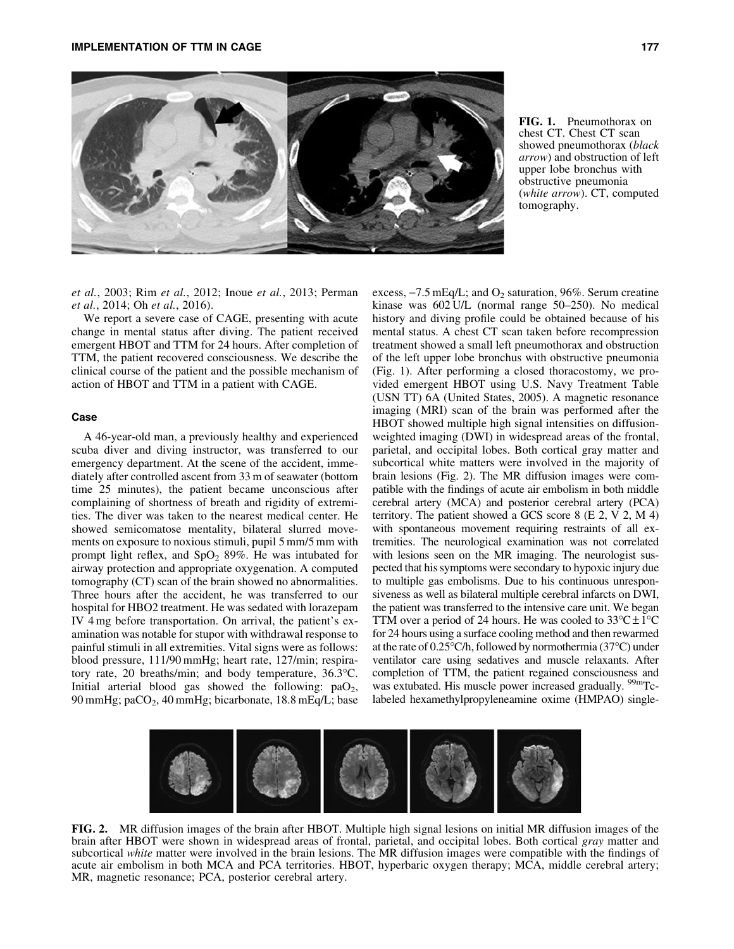

FIG. 1. Pneumothorax on chest CT. Chest CT scan showed pneumothorax (*black arrow*) and obstruction of left upper lobe bronchus with obstructive pneumonia (*white arrow*). CT, computed tomography.

*et al.*, 2003; Rim *et al.*, 2012; Inoue *et al.*, 2013; Perman *et al.*, 2014; Oh *et al.*, 2016).

We report a severe case of CAGE, presenting with acute change in mental status after diving. The patient received emergent HBOT and TTM for 24 hours. After completion of TTM, the patient recovered consciousness. We describe the clinical course of the patient and the possible mechanism of action of HBOT and TTM in a patient with CAGE.

## Case

A 46-year-old man, a previously healthy and experienced scuba diver and diving instructor, was transferred to our emergency department. At the scene of the accident, immediately after controlled ascent from 33 m of seawater (bottom time 25 minutes), the patient became unconscious after complaining of shortness of breath and rigidity of extremities. The diver was taken to the nearest medical center. He showed semicomatose mentality, bilateral slurred movements on exposure to noxious stimuli, pupil 5 mm/5 mm with prompt light reflex, and  $SpO<sub>2</sub> 89%$ . He was intubated for airway protection and appropriate oxygenation. A computed tomography (CT) scan of the brain showed no abnormalities. Three hours after the accident, he was transferred to our hospital for HBO2 treatment. He was sedated with lorazepam IV 4 mg before transportation. On arrival, the patient's examination was notable for stupor with withdrawal response to painful stimuli in all extremities. Vital signs were as follows: blood pressure, 111/90 mmHg; heart rate, 127/min; respiratory rate, 20 breaths/min; and body temperature, 36.3°C. Initial arterial blood gas showed the following:  $paO<sub>2</sub>$ , 90 mmHg; pa $CO<sub>2</sub>$ , 40 mmHg; bicarbonate, 18.8 mEq/L; base excess,  $-7.5$  mEq/L; and  $O_2$  saturation, 96%. Serum creatine kinase was 602 U/L (normal range 50–250). No medical history and diving profile could be obtained because of his mental status. A chest CT scan taken before recompression treatment showed a small left pneumothorax and obstruction of the left upper lobe bronchus with obstructive pneumonia (Fig. 1). After performing a closed thoracostomy, we provided emergent HBOT using U.S. Navy Treatment Table (USN TT) 6A (United States, 2005). A magnetic resonance imaging (MRI) scan of the brain was performed after the HBOT showed multiple high signal intensities on diffusionweighted imaging (DWI) in widespread areas of the frontal, parietal, and occipital lobes. Both cortical gray matter and subcortical white matters were involved in the majority of brain lesions (Fig. 2). The MR diffusion images were compatible with the findings of acute air embolism in both middle cerebral artery (MCA) and posterior cerebral artery (PCA) territory. The patient showed a GCS score 8 (E 2, V 2, M 4) with spontaneous movement requiring restraints of all extremities. The neurological examination was not correlated with lesions seen on the MR imaging. The neurologist suspected that his symptoms were secondary to hypoxic injury due to multiple gas embolisms. Due to his continuous unresponsiveness as well as bilateral multiple cerebral infarcts on DWI, the patient was transferred to the intensive care unit. We began TTM over a period of 24 hours. He was cooled to  $33^{\circ}C \pm 1^{\circ}C$ for 24 hours using a surface cooling method and then rewarmed at the rate of 0.25°C/h, followed by normothermia (37°C) under ventilator care using sedatives and muscle relaxants. After completion of TTM, the patient regained consciousness and was extubated. His muscle power increased gradually. <sup>99m</sup>Tclabeled hexamethylpropyleneamine oxime (HMPAO) single-



FIG. 2. MR diffusion images of the brain after HBOT. Multiple high signal lesions on initial MR diffusion images of the brain after HBOT were shown in widespread areas of frontal, parietal, and occipital lobes. Both cortical *gray* matter and subcortical *white* matter were involved in the brain lesions. The MR diffusion images were compatible with the findings of acute air embolism in both MCA and PCA territories. HBOT, hyperbaric oxygen therapy; MCA, middle cerebral artery; MR, magnetic resonance; PCA, posterior cerebral artery.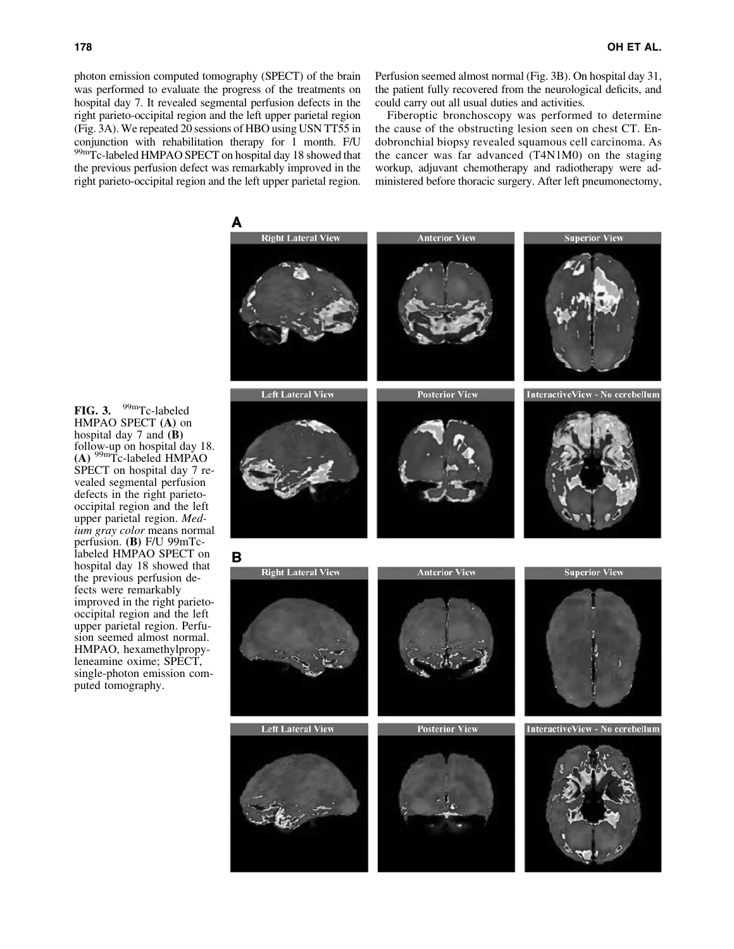photon emission computed tomography (SPECT) of the brain was performed to evaluate the progress of the treatments on hospital day 7. It revealed segmental perfusion defects in the right parieto-occipital region and the left upper parietal region (Fig. 3A). We repeated 20 sessions of HBO using USN TT55 in conjunction with rehabilitation therapy for 1 month. F/U 99mTc-labeled HMPAO SPECT on hospital day 18 showed that the previous perfusion defect was remarkably improved in the right parieto-occipital region and the left upper parietal region. Perfusion seemed almost normal (Fig. 3B). On hospital day 31, the patient fully recovered from the neurological deficits, and could carry out all usual duties and activities.

Fiberoptic bronchoscopy was performed to determine the cause of the obstructing lesion seen on chest CT. Endobronchial biopsy revealed squamous cell carcinoma. As the cancer was far advanced (T4N1M0) on the staging workup, adjuvant chemotherapy and radiotherapy were administered before thoracic surgery. After left pneumonectomy,

FIG. 3. 99mTc-labeled HMPAO SPECT (A) on hospital day 7 and (B) follow-up on hospital day 18. (A) 99mTc-labeled HMPAO SPECT on hospital day 7 revealed segmental perfusion defects in the right parietooccipital region and the left upper parietal region. *Medium gray color* means normal perfusion. (B) F/U 99mTclabeled HMPAO SPECT on hospital day 18 showed that the previous perfusion defects were remarkably improved in the right parietooccipital region and the left upper parietal region. Perfusion seemed almost normal. HMPAO, hexamethylpropyleneamine oxime; SPECT, single-photon emission computed tomography.

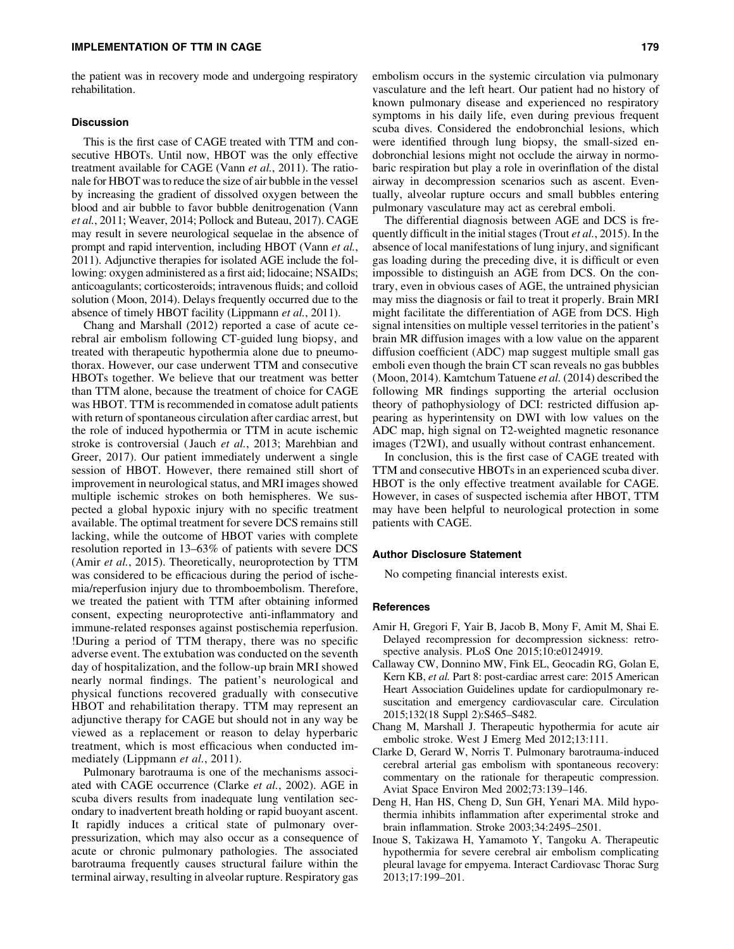the patient was in recovery mode and undergoing respiratory rehabilitation.

## **Discussion**

This is the first case of CAGE treated with TTM and consecutive HBOTs. Until now, HBOT was the only effective treatment available for CAGE (Vann *et al.*, 2011). The rationale for HBOT was to reduce the size of air bubble in the vessel by increasing the gradient of dissolved oxygen between the blood and air bubble to favor bubble denitrogenation (Vann *et al.*, 2011; Weaver, 2014; Pollock and Buteau, 2017). CAGE may result in severe neurological sequelae in the absence of prompt and rapid intervention, including HBOT (Vann *et al.*, 2011). Adjunctive therapies for isolated AGE include the following: oxygen administered as a first aid; lidocaine; NSAIDs; anticoagulants; corticosteroids; intravenous fluids; and colloid solution (Moon, 2014). Delays frequently occurred due to the absence of timely HBOT facility (Lippmann *et al.*, 2011).

Chang and Marshall (2012) reported a case of acute cerebral air embolism following CT-guided lung biopsy, and treated with therapeutic hypothermia alone due to pneumothorax. However, our case underwent TTM and consecutive HBOTs together. We believe that our treatment was better than TTM alone, because the treatment of choice for CAGE was HBOT. TTM is recommended in comatose adult patients with return of spontaneous circulation after cardiac arrest, but the role of induced hypothermia or TTM in acute ischemic stroke is controversial ( Jauch *et al.*, 2013; Marehbian and Greer, 2017). Our patient immediately underwent a single session of HBOT. However, there remained still short of improvement in neurological status, and MRI images showed multiple ischemic strokes on both hemispheres. We suspected a global hypoxic injury with no specific treatment available. The optimal treatment for severe DCS remains still lacking, while the outcome of HBOT varies with complete resolution reported in 13–63% of patients with severe DCS (Amir *et al.*, 2015). Theoretically, neuroprotection by TTM was considered to be efficacious during the period of ischemia/reperfusion injury due to thromboembolism. Therefore, we treated the patient with TTM after obtaining informed consent, expecting neuroprotective anti-inflammatory and immune-related responses against postischemia reperfusion. !During a period of TTM therapy, there was no specific adverse event. The extubation was conducted on the seventh day of hospitalization, and the follow-up brain MRI showed nearly normal findings. The patient's neurological and physical functions recovered gradually with consecutive HBOT and rehabilitation therapy. TTM may represent an adjunctive therapy for CAGE but should not in any way be viewed as a replacement or reason to delay hyperbaric treatment, which is most efficacious when conducted immediately (Lippmann *et al.*, 2011).

Pulmonary barotrauma is one of the mechanisms associated with CAGE occurrence (Clarke *et al.*, 2002). AGE in scuba divers results from inadequate lung ventilation secondary to inadvertent breath holding or rapid buoyant ascent. It rapidly induces a critical state of pulmonary overpressurization, which may also occur as a consequence of acute or chronic pulmonary pathologies. The associated barotrauma frequently causes structural failure within the terminal airway, resulting in alveolar rupture. Respiratory gas embolism occurs in the systemic circulation via pulmonary vasculature and the left heart. Our patient had no history of known pulmonary disease and experienced no respiratory symptoms in his daily life, even during previous frequent scuba dives. Considered the endobronchial lesions, which were identified through lung biopsy, the small-sized endobronchial lesions might not occlude the airway in normobaric respiration but play a role in overinflation of the distal airway in decompression scenarios such as ascent. Eventually, alveolar rupture occurs and small bubbles entering pulmonary vasculature may act as cerebral emboli.

The differential diagnosis between AGE and DCS is frequently difficult in the initial stages (Trout *et al.*, 2015). In the absence of local manifestations of lung injury, and significant gas loading during the preceding dive, it is difficult or even impossible to distinguish an AGE from DCS. On the contrary, even in obvious cases of AGE, the untrained physician may miss the diagnosis or fail to treat it properly. Brain MRI might facilitate the differentiation of AGE from DCS. High signal intensities on multiple vessel territories in the patient's brain MR diffusion images with a low value on the apparent diffusion coefficient (ADC) map suggest multiple small gas emboli even though the brain CT scan reveals no gas bubbles (Moon, 2014). Kamtchum Tatuene *et al.* (2014) described the following MR findings supporting the arterial occlusion theory of pathophysiology of DCI: restricted diffusion appearing as hyperintensity on DWI with low values on the ADC map, high signal on T2-weighted magnetic resonance images (T2WI), and usually without contrast enhancement.

In conclusion, this is the first case of CAGE treated with TTM and consecutive HBOTs in an experienced scuba diver. HBOT is the only effective treatment available for CAGE. However, in cases of suspected ischemia after HBOT, TTM may have been helpful to neurological protection in some patients with CAGE.

#### Author Disclosure Statement

No competing financial interests exist.

### References

- Amir H, Gregori F, Yair B, Jacob B, Mony F, Amit M, Shai E. Delayed recompression for decompression sickness: retrospective analysis. PLoS One 2015;10:e0124919.
- Callaway CW, Donnino MW, Fink EL, Geocadin RG, Golan E, Kern KB, *et al.* Part 8: post-cardiac arrest care: 2015 American Heart Association Guidelines update for cardiopulmonary resuscitation and emergency cardiovascular care. Circulation 2015;132(18 Suppl 2):S465–S482.
- Chang M, Marshall J. Therapeutic hypothermia for acute air embolic stroke. West J Emerg Med 2012;13:111.
- Clarke D, Gerard W, Norris T. Pulmonary barotrauma-induced cerebral arterial gas embolism with spontaneous recovery: commentary on the rationale for therapeutic compression. Aviat Space Environ Med 2002;73:139–146.
- Deng H, Han HS, Cheng D, Sun GH, Yenari MA. Mild hypothermia inhibits inflammation after experimental stroke and brain inflammation. Stroke 2003;34:2495–2501.
- Inoue S, Takizawa H, Yamamoto Y, Tangoku A. Therapeutic hypothermia for severe cerebral air embolism complicating pleural lavage for empyema. Interact Cardiovasc Thorac Surg 2013;17:199–201.